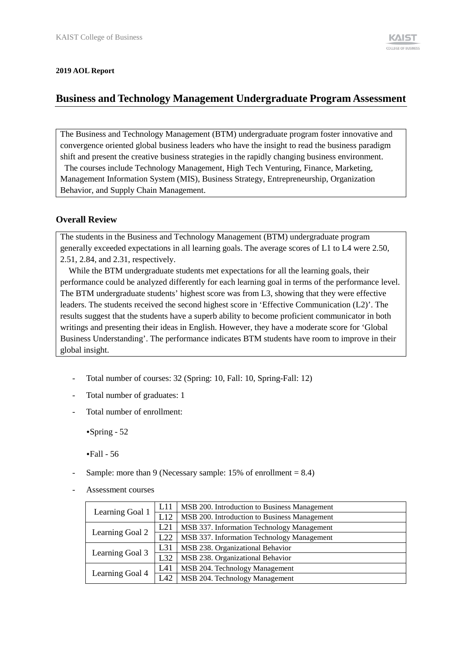#### **2019 AOL Report**

# **Business and Technology Management Undergraduate Program Assessment**

The Business and Technology Management (BTM) undergraduate program foster innovative and convergence oriented global business leaders who have the insight to read the business paradigm shift and present the creative business strategies in the rapidly changing business environment.

The courses include Technology Management, High Tech Venturing, Finance, Marketing, Management Information System (MIS), Business Strategy, Entrepreneurship, Organization Behavior, and Supply Chain Management.

### **Overall Review**

The students in the Business and Technology Management (BTM) undergraduate program generally exceeded expectations in all learning goals. The average scores of L1 to L4 were 2.50, 2.51, 2.84, and 2.31, respectively.

While the BTM undergraduate students met expectations for all the learning goals, their performance could be analyzed differently for each learning goal in terms of the performance level. The BTM undergraduate students' highest score was from L3, showing that they were effective leaders. The students received the second highest score in 'Effective Communication (L2)'. The results suggest that the students have a superb ability to become proficient communicator in both writings and presenting their ideas in English. However, they have a moderate score for 'Global Business Understanding'. The performance indicates BTM students have room to improve in their global insight.

- Total number of courses: 32 (Spring: 10, Fall: 10, Spring-Fall: 12)
- Total number of graduates: 1
- Total number of enrollment:

•Spring - 52

•Fall - 56

- Sample: more than 9 (Necessary sample:  $15%$  of enrollment = 8.4)
- Assessment courses

| Learning Goal 1 | L11 | MSB 200. Introduction to Business Management |  |  |  |
|-----------------|-----|----------------------------------------------|--|--|--|
|                 | L12 | MSB 200. Introduction to Business Management |  |  |  |
| Learning Goal 2 | L21 | MSB 337. Information Technology Management   |  |  |  |
|                 | L22 | MSB 337. Information Technology Management   |  |  |  |
| Learning Goal 3 | L31 | MSB 238. Organizational Behavior             |  |  |  |
|                 | L32 | MSB 238. Organizational Behavior             |  |  |  |
| Learning Goal 4 | L41 | MSB 204. Technology Management               |  |  |  |
|                 | L42 | MSB 204. Technology Management               |  |  |  |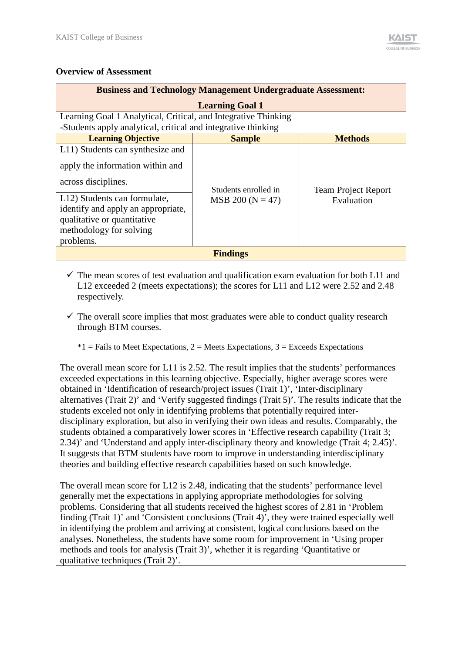### **Overview of Assessment**

| <b>Business and Technology Management Undergraduate Assessment:</b>                                                                                                                              |                                            |                                          |  |  |  |
|--------------------------------------------------------------------------------------------------------------------------------------------------------------------------------------------------|--------------------------------------------|------------------------------------------|--|--|--|
|                                                                                                                                                                                                  | <b>Learning Goal 1</b>                     |                                          |  |  |  |
| Learning Goal 1 Analytical, Critical, and Integrative Thinking<br>-Students apply analytical, critical and integrative thinking                                                                  |                                            |                                          |  |  |  |
| <b>Learning Objective</b>                                                                                                                                                                        | <b>Sample</b>                              | <b>Methods</b>                           |  |  |  |
| L11) Students can synthesize and<br>apply the information within and<br>across disciplines.<br>L12) Students can formulate,<br>identify and apply an appropriate,<br>qualitative or quantitative | Students enrolled in<br>$MSB 200 (N = 47)$ | <b>Team Project Report</b><br>Evaluation |  |  |  |
| methodology for solving<br>problems.                                                                                                                                                             |                                            |                                          |  |  |  |
|                                                                                                                                                                                                  | <b>Findings</b>                            |                                          |  |  |  |

 $\checkmark$  The mean scores of test evaluation and qualification exam evaluation for both L11 and L12 exceeded 2 (meets expectations); the scores for L11 and L12 were 2.52 and 2.48 respectively.

 $\checkmark$  The overall score implies that most graduates were able to conduct quality research through BTM courses.

 $*1$  = Fails to Meet Expectations, 2 = Meets Expectations, 3 = Exceeds Expectations

The overall mean score for L11 is 2.52. The result implies that the students' performances exceeded expectations in this learning objective. Especially, higher average scores were obtained in 'Identification of research/project issues (Trait 1)', 'Inter-disciplinary alternatives (Trait 2)' and 'Verify suggested findings (Trait 5)'. The results indicate that the students exceled not only in identifying problems that potentially required interdisciplinary exploration, but also in verifying their own ideas and results. Comparably, the students obtained a comparatively lower scores in 'Effective research capability (Trait 3; 2.34)' and 'Understand and apply inter-disciplinary theory and knowledge (Trait 4; 2.45)'. It suggests that BTM students have room to improve in understanding interdisciplinary theories and building effective research capabilities based on such knowledge.

The overall mean score for L12 is 2.48, indicating that the students' performance level generally met the expectations in applying appropriate methodologies for solving problems. Considering that all students received the highest scores of 2.81 in 'Problem finding (Trait 1)' and 'Consistent conclusions (Trait 4)', they were trained especially well in identifying the problem and arriving at consistent, logical conclusions based on the analyses. Nonetheless, the students have some room for improvement in 'Using proper methods and tools for analysis (Trait 3)', whether it is regarding 'Quantitative or qualitative techniques (Trait 2)'.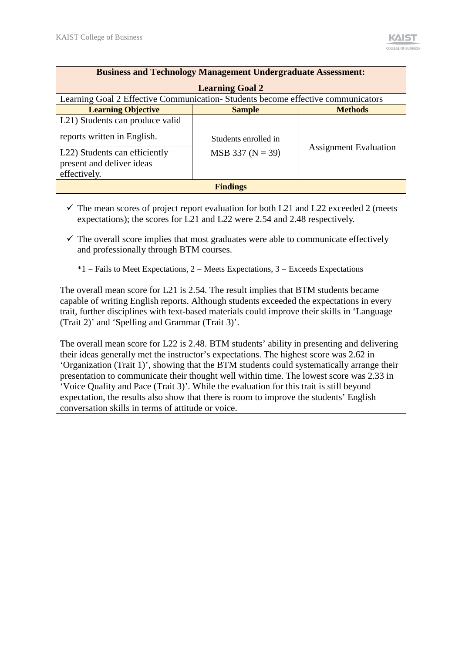| <b>Business and Technology Management Undergraduate Assessment:</b>                                                                                                    |                                            |                              |  |  |
|------------------------------------------------------------------------------------------------------------------------------------------------------------------------|--------------------------------------------|------------------------------|--|--|
|                                                                                                                                                                        | <b>Learning Goal 2</b>                     |                              |  |  |
| Learning Goal 2 Effective Communication-Students become effective communicators                                                                                        |                                            |                              |  |  |
| <b>Learning Objective</b>                                                                                                                                              | <b>Sample</b>                              | <b>Methods</b>               |  |  |
| L <sub>21</sub> ) Students can produce valid<br>reports written in English.<br>L <sub>22</sub> ) Students can efficiently<br>present and deliver ideas<br>effectively. | Students enrolled in<br>$MSB 337 (N = 39)$ | <b>Assignment Evaluation</b> |  |  |
| <b>Findings</b>                                                                                                                                                        |                                            |                              |  |  |

- $\checkmark$  The mean scores of project report evaluation for both L21 and L22 exceeded 2 (meets expectations); the scores for L21 and L22 were 2.54 and 2.48 respectively.
- $\checkmark$  The overall score implies that most graduates were able to communicate effectively and professionally through BTM courses.

 $*1$  = Fails to Meet Expectations, 2 = Meets Expectations, 3 = Exceeds Expectations

The overall mean score for L21 is 2.54. The result implies that BTM students became capable of writing English reports. Although students exceeded the expectations in every trait, further disciplines with text-based materials could improve their skills in 'Language (Trait 2)' and 'Spelling and Grammar (Trait 3)'.

The overall mean score for L22 is 2.48. BTM students' ability in presenting and delivering their ideas generally met the instructor's expectations. The highest score was 2.62 in 'Organization (Trait 1)', showing that the BTM students could systematically arrange their presentation to communicate their thought well within time. The lowest score was 2.33 in 'Voice Quality and Pace (Trait 3)'. While the evaluation for this trait is still beyond expectation, the results also show that there is room to improve the students' English conversation skills in terms of attitude or voice.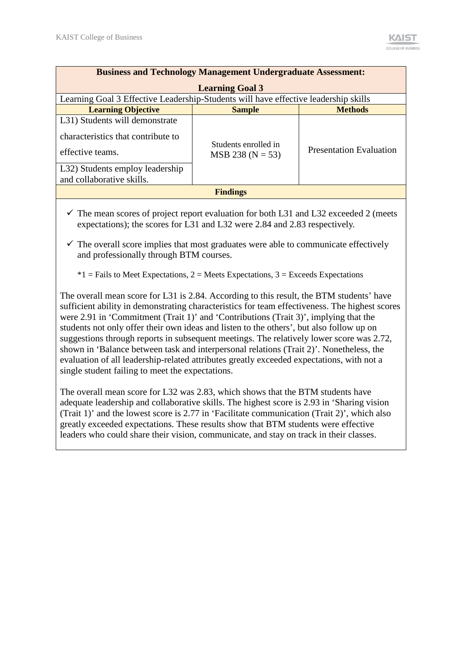| <b>Business and Technology Management Undergraduate Assessment:</b>                                                                                      |                                            |                                |  |  |  |  |  |
|----------------------------------------------------------------------------------------------------------------------------------------------------------|--------------------------------------------|--------------------------------|--|--|--|--|--|
|                                                                                                                                                          | <b>Learning Goal 3</b>                     |                                |  |  |  |  |  |
| Learning Goal 3 Effective Leadership-Students will have effective leadership skills                                                                      |                                            |                                |  |  |  |  |  |
| <b>Learning Objective</b>                                                                                                                                | <b>Sample</b>                              | <b>Methods</b>                 |  |  |  |  |  |
| L31) Students will demonstrate<br>characteristics that contribute to<br>effective teams.<br>L32) Students employ leadership<br>and collaborative skills. | Students enrolled in<br>$MSB 238 (N = 53)$ | <b>Presentation Evaluation</b> |  |  |  |  |  |
| <b>Findings</b>                                                                                                                                          |                                            |                                |  |  |  |  |  |

 $\checkmark$  The mean scores of project report evaluation for both L31 and L32 exceeded 2 (meets expectations); the scores for L31 and L32 were 2.84 and 2.83 respectively.

 $\checkmark$  The overall score implies that most graduates were able to communicate effectively and professionally through BTM courses.

 $*1$  = Fails to Meet Expectations, 2 = Meets Expectations, 3 = Exceeds Expectations

The overall mean score for L31 is 2.84. According to this result, the BTM students' have sufficient ability in demonstrating characteristics for team effectiveness. The highest scores were 2.91 in 'Commitment (Trait 1)' and 'Contributions (Trait 3)', implying that the students not only offer their own ideas and listen to the others', but also follow up on suggestions through reports in subsequent meetings. The relatively lower score was 2.72, shown in 'Balance between task and interpersonal relations (Trait 2)'. Nonetheless, the evaluation of all leadership-related attributes greatly exceeded expectations, with not a single student failing to meet the expectations.

The overall mean score for L32 was 2.83, which shows that the BTM students have adequate leadership and collaborative skills. The highest score is 2.93 in 'Sharing vision (Trait 1)' and the lowest score is 2.77 in 'Facilitate communication (Trait 2)', which also greatly exceeded expectations. These results show that BTM students were effective leaders who could share their vision, communicate, and stay on track in their classes.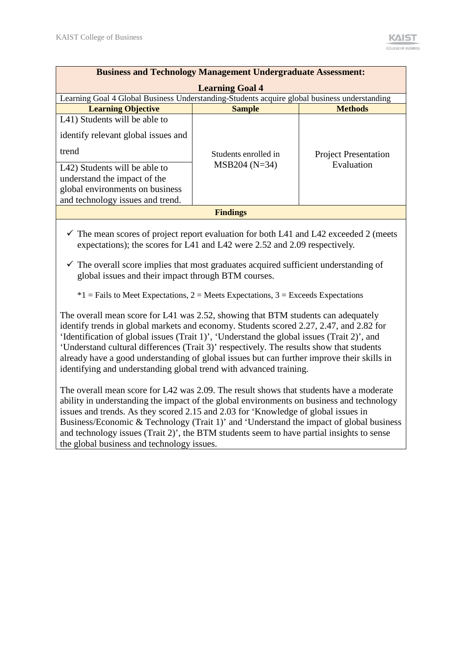| <b>Business and Technology Management Undergraduate Assessment:</b>                          |                        |                             |  |  |
|----------------------------------------------------------------------------------------------|------------------------|-----------------------------|--|--|
|                                                                                              | <b>Learning Goal 4</b> |                             |  |  |
| Learning Goal 4 Global Business Understanding-Students acquire global business understanding |                        |                             |  |  |
| <b>Learning Objective</b>                                                                    | <b>Sample</b>          | <b>Methods</b>              |  |  |
| L41) Students will be able to                                                                |                        |                             |  |  |
| identify relevant global issues and                                                          |                        |                             |  |  |
| trend                                                                                        | Students enrolled in   | <b>Project Presentation</b> |  |  |
| L42) Students will be able to                                                                | $MSB204 (N=34)$        | Evaluation                  |  |  |
| understand the impact of the                                                                 |                        |                             |  |  |
| global environments on business                                                              |                        |                             |  |  |
| and technology issues and trend.                                                             |                        |                             |  |  |
| <b>Findings</b>                                                                              |                        |                             |  |  |

- $\checkmark$  The mean scores of project report evaluation for both L41 and L42 exceeded 2 (meets expectations); the scores for L41 and L42 were 2.52 and 2.09 respectively.
- $\checkmark$  The overall score implies that most graduates acquired sufficient understanding of global issues and their impact through BTM courses.

 $*1$  = Fails to Meet Expectations, 2 = Meets Expectations, 3 = Exceeds Expectations

The overall mean score for L41 was 2.52, showing that BTM students can adequately identify trends in global markets and economy. Students scored 2.27, 2.47, and 2.82 for 'Identification of global issues (Trait 1)', 'Understand the global issues (Trait 2)', and 'Understand cultural differences (Trait 3)' respectively. The results show that students already have a good understanding of global issues but can further improve their skills in identifying and understanding global trend with advanced training.

The overall mean score for L42 was 2.09. The result shows that students have a moderate ability in understanding the impact of the global environments on business and technology issues and trends. As they scored 2.15 and 2.03 for 'Knowledge of global issues in Business/Economic & Technology (Trait 1)' and 'Understand the impact of global business and technology issues (Trait 2)', the BTM students seem to have partial insights to sense the global business and technology issues.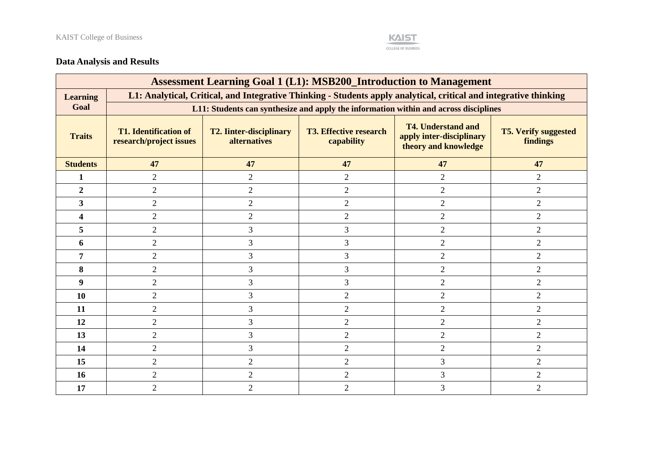

## **Data Analysis and Results**

|                         | <b>Assessment Learning Goal 1 (L1): MSB200_Introduction to Management</b>                                         |                                                       |                                             |                                                                                      |                                         |  |
|-------------------------|-------------------------------------------------------------------------------------------------------------------|-------------------------------------------------------|---------------------------------------------|--------------------------------------------------------------------------------------|-----------------------------------------|--|
| <b>Learning</b>         | L1: Analytical, Critical, and Integrative Thinking - Students apply analytical, critical and integrative thinking |                                                       |                                             |                                                                                      |                                         |  |
| Goal                    |                                                                                                                   |                                                       |                                             | L11: Students can synthesize and apply the information within and across disciplines |                                         |  |
| <b>Traits</b>           | <b>T1. Identification of</b><br>research/project issues                                                           | <b>T2. Iinter-disciplinary</b><br><b>alternatives</b> | <b>T3. Effective research</b><br>capability | <b>T4. Understand and</b><br>apply inter-disciplinary<br>theory and knowledge        | <b>T5. Verify suggested</b><br>findings |  |
| <b>Students</b>         | 47                                                                                                                | 47                                                    | 47                                          | 47                                                                                   | 47                                      |  |
| $\mathbf{1}$            | $\overline{2}$                                                                                                    | $\overline{2}$                                        | $\overline{2}$                              | $\overline{2}$                                                                       | $\overline{2}$                          |  |
| $\overline{2}$          | $\overline{2}$                                                                                                    | $\overline{2}$                                        | $\overline{2}$                              | $\overline{2}$                                                                       | $\overline{2}$                          |  |
| $\overline{\mathbf{3}}$ | $\overline{2}$                                                                                                    | $\overline{2}$                                        | $\overline{2}$                              | $\overline{2}$                                                                       | $\overline{2}$                          |  |
| $\overline{\mathbf{4}}$ | $\overline{2}$                                                                                                    | $\overline{2}$                                        | $\overline{2}$                              | $\overline{2}$                                                                       | $\overline{2}$                          |  |
| 5                       | $\overline{2}$                                                                                                    | 3                                                     | 3                                           | $\overline{2}$                                                                       | $\overline{2}$                          |  |
| 6                       | $\overline{2}$                                                                                                    | 3                                                     | 3                                           | $\overline{2}$                                                                       | $\overline{2}$                          |  |
| 7                       | $\overline{2}$                                                                                                    | 3                                                     | 3                                           | $\overline{2}$                                                                       | $\overline{2}$                          |  |
| 8                       | $\overline{2}$                                                                                                    | 3                                                     | 3                                           | $\overline{2}$                                                                       | $\overline{2}$                          |  |
| $\boldsymbol{9}$        | $\overline{2}$                                                                                                    | 3                                                     | 3                                           | $\overline{2}$                                                                       | $\overline{2}$                          |  |
| 10                      | $\overline{2}$                                                                                                    | 3                                                     | $\overline{2}$                              | $\overline{2}$                                                                       | $\overline{2}$                          |  |
| 11                      | $\overline{2}$                                                                                                    | 3                                                     | $\overline{2}$                              | $\overline{2}$                                                                       | $\overline{2}$                          |  |
| 12                      | $\overline{2}$                                                                                                    | 3                                                     | $\overline{2}$                              | $\overline{2}$                                                                       | $\mathbf{2}$                            |  |
| 13                      | $\overline{2}$                                                                                                    | 3                                                     | $\overline{2}$                              | $\overline{2}$                                                                       | $\overline{2}$                          |  |
| 14                      | $\overline{2}$                                                                                                    | 3                                                     | $\overline{2}$                              | $\overline{2}$                                                                       | $\overline{2}$                          |  |
| 15                      | $\overline{2}$                                                                                                    | $\overline{2}$                                        | $\overline{2}$                              | 3                                                                                    | $\overline{2}$                          |  |
| 16                      | $\sqrt{2}$                                                                                                        | $\overline{2}$                                        | $\overline{2}$                              | $\mathfrak{Z}$                                                                       | $\mathbf{2}$                            |  |
| 17                      | $\overline{2}$                                                                                                    | $\overline{2}$                                        | $\overline{2}$                              | 3                                                                                    | $\overline{2}$                          |  |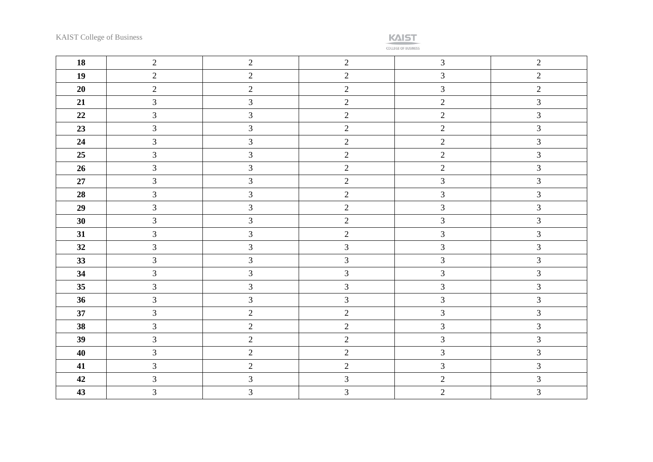

| 18       | $\overline{2}$ | $\overline{2}$ | 2              | $\mathfrak{Z}$              | $\overline{2}$ |
|----------|----------------|----------------|----------------|-----------------------------|----------------|
| 19       | $\overline{2}$ | $\overline{2}$ | $\overline{2}$ | $\mathfrak{Z}$              | $\overline{2}$ |
| 20       | $\overline{2}$ | $\overline{2}$ | $\overline{2}$ | $\mathfrak{Z}$              | $\overline{2}$ |
| 21       | $\overline{3}$ | $\overline{3}$ | $\overline{2}$ | $\overline{c}$              | $\overline{3}$ |
| $\bf 22$ | $\mathfrak{Z}$ | $\mathfrak{Z}$ | $\overline{2}$ | $\overline{2}$              | $\mathfrak{Z}$ |
| 23       | $\mathfrak{Z}$ | $\mathfrak{Z}$ | $\overline{2}$ | $\sqrt{2}$                  | $\mathfrak{Z}$ |
| 24       | $\overline{3}$ | $\overline{3}$ | $\overline{2}$ | $\sqrt{2}$                  | $\overline{3}$ |
| 25       | $\mathfrak{Z}$ | $\mathfrak{Z}$ | $\sqrt{2}$     | $\sqrt{2}$                  | $\mathfrak{Z}$ |
| 26       | $\overline{3}$ | $\mathfrak{Z}$ | $\overline{2}$ | $\overline{2}$              | $\mathfrak{Z}$ |
| 27       | $\overline{3}$ | $\overline{3}$ | $\overline{2}$ | $\mathfrak{Z}$              | $\overline{3}$ |
| 28       | $\overline{3}$ | $\overline{3}$ | $\overline{2}$ | $\overline{3}$              | $\mathfrak{Z}$ |
| 29       | $\overline{3}$ | $\overline{3}$ | $\overline{2}$ | $\mathfrak{Z}$              | $\mathfrak{Z}$ |
| 30       | $\mathfrak{Z}$ | $\mathfrak{Z}$ | $\overline{2}$ | $\mathfrak{Z}$              | $\mathfrak{Z}$ |
| 31       | $\overline{3}$ | $\mathfrak{Z}$ | $\overline{2}$ | $\mathfrak{Z}$              | $\mathfrak{Z}$ |
| 32       | $\mathfrak{Z}$ | $\mathfrak{Z}$ | $\mathfrak{Z}$ | $\mathfrak{Z}$              | $\mathfrak{Z}$ |
| 33       | $\mathfrak{Z}$ | $\mathfrak{Z}$ | $\mathfrak{Z}$ | $\mathfrak{Z}$              | $\mathfrak{Z}$ |
| 34       | $\overline{3}$ | $\mathfrak{Z}$ | 3              | $\mathfrak{Z}$              | $\mathfrak{Z}$ |
| 35       | $\mathfrak{Z}$ | $\mathfrak{Z}$ | $\mathfrak{Z}$ | $\mathfrak{Z}$              | $\mathfrak{Z}$ |
| 36       | $\overline{3}$ | $\overline{3}$ | $\overline{3}$ | $\mathfrak{Z}$              | $\overline{3}$ |
| 37       | $\overline{3}$ | $\overline{2}$ | $\overline{2}$ | $\mathfrak{Z}$              | $\mathfrak{Z}$ |
| 38       | $\overline{3}$ | $\overline{2}$ | $\overline{2}$ | $\mathfrak{Z}$              | $\mathfrak{Z}$ |
| 39       | $\mathfrak{Z}$ | $\overline{c}$ | $\sqrt{2}$     | $\ensuremath{\mathfrak{Z}}$ | $\mathfrak{Z}$ |
| 40       | $\overline{3}$ | $\overline{2}$ | $\overline{2}$ | $\mathfrak{Z}$              | $\mathfrak{Z}$ |
| 41       | $\overline{3}$ | $\overline{2}$ | $\overline{2}$ | $\mathfrak{Z}$              | $\mathfrak{Z}$ |
| 42       | $\mathfrak{Z}$ | $\mathfrak{Z}$ | $\mathfrak{Z}$ | $\sqrt{2}$                  | $\mathfrak{Z}$ |
| 43       | 3              | $\mathfrak{Z}$ | 3              | $\sqrt{2}$                  | $\mathfrak{Z}$ |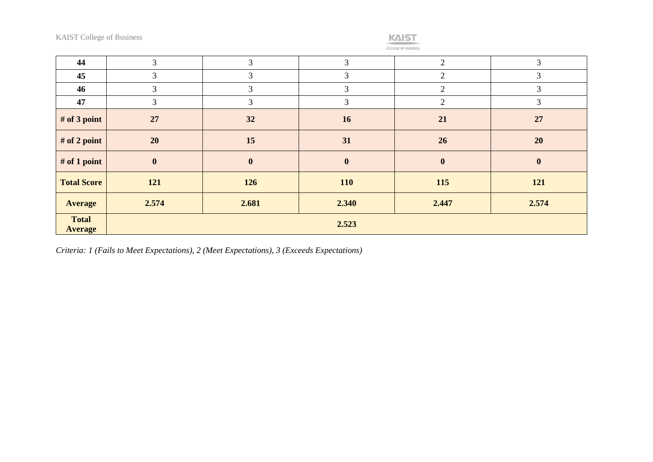

| 44                             | 3                | 3        | 3              | 2                | 3            |
|--------------------------------|------------------|----------|----------------|------------------|--------------|
| 45                             | 3                | 3        | 3              | $\overline{2}$   | 3            |
| 46                             | 3                | 3        | 3              | 2                | 3            |
| 47                             | 3                | 3        | $\mathfrak{Z}$ | $\overline{2}$   | 3            |
| # of 3 point                   | 27               | 32       | <b>16</b>      | 21               | 27           |
| # of 2 point                   | 20               | 15       | 31             | 26               | 20           |
| $#$ of 1 point                 | $\boldsymbol{0}$ | $\bf{0}$ | $\mathbf{0}$   | $\boldsymbol{0}$ | $\mathbf{0}$ |
| <b>Total Score</b>             | 121              | 126      | <b>110</b>     | 115              | 121          |
| <b>Average</b>                 | 2.574            | 2.681    | 2.340          | 2.447            | 2.574        |
| <b>Total</b><br><b>Average</b> | 2.523            |          |                |                  |              |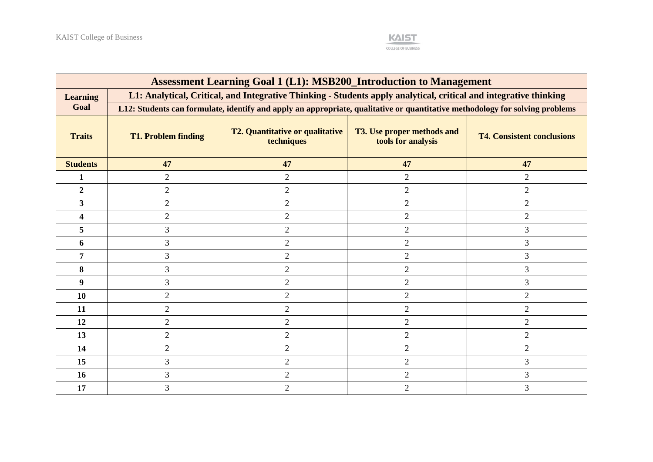

| <b>Assessment Learning Goal 1 (L1): MSB200_Introduction to Management</b> |                                                                                                                   |                                                                                                                              |                                                         |                                   |  |  |  |  |
|---------------------------------------------------------------------------|-------------------------------------------------------------------------------------------------------------------|------------------------------------------------------------------------------------------------------------------------------|---------------------------------------------------------|-----------------------------------|--|--|--|--|
| <b>Learning</b>                                                           | L1: Analytical, Critical, and Integrative Thinking - Students apply analytical, critical and integrative thinking |                                                                                                                              |                                                         |                                   |  |  |  |  |
| Goal                                                                      |                                                                                                                   | L12: Students can formulate, identify and apply an appropriate, qualitative or quantitative methodology for solving problems |                                                         |                                   |  |  |  |  |
| <b>Traits</b>                                                             | <b>T1. Problem finding</b>                                                                                        | <b>T2. Quantitative or qualitative</b><br>techniques                                                                         | <b>T3. Use proper methods and</b><br>tools for analysis | <b>T4. Consistent conclusions</b> |  |  |  |  |
| <b>Students</b>                                                           | 47                                                                                                                | 47                                                                                                                           | 47                                                      | 47                                |  |  |  |  |
| 1                                                                         | $\overline{2}$                                                                                                    | $\overline{2}$                                                                                                               | $\overline{2}$                                          | $\overline{2}$                    |  |  |  |  |
| $\overline{2}$                                                            | $\overline{2}$                                                                                                    | $\overline{2}$                                                                                                               | $\overline{2}$                                          | $\overline{2}$                    |  |  |  |  |
| $\mathbf{3}$                                                              | $\overline{2}$                                                                                                    | $\sqrt{2}$                                                                                                                   | $\overline{2}$                                          | $\overline{c}$                    |  |  |  |  |
| 4                                                                         | $\overline{2}$                                                                                                    | $\overline{2}$                                                                                                               | $\overline{2}$                                          | $\overline{2}$                    |  |  |  |  |
| 5                                                                         | 3                                                                                                                 | $\overline{2}$                                                                                                               | 2                                                       | 3                                 |  |  |  |  |
| 6                                                                         | 3                                                                                                                 | $\overline{2}$                                                                                                               | $\overline{2}$                                          | 3                                 |  |  |  |  |
| 7                                                                         | 3                                                                                                                 | $\overline{2}$                                                                                                               | 2                                                       | 3                                 |  |  |  |  |
| 8                                                                         | 3                                                                                                                 | $\overline{2}$                                                                                                               | $\overline{2}$                                          | 3                                 |  |  |  |  |
| $\boldsymbol{9}$                                                          | 3                                                                                                                 | $\overline{2}$                                                                                                               | $\overline{2}$                                          | 3                                 |  |  |  |  |
| 10                                                                        | $\overline{2}$                                                                                                    | $\overline{2}$                                                                                                               | $\overline{2}$                                          | $\overline{2}$                    |  |  |  |  |
| 11                                                                        | $\overline{2}$                                                                                                    | $\overline{2}$                                                                                                               | $\overline{2}$                                          | $\overline{2}$                    |  |  |  |  |
| 12                                                                        | $\overline{2}$                                                                                                    | $\overline{2}$                                                                                                               | $\overline{2}$                                          | $\overline{2}$                    |  |  |  |  |
| 13                                                                        | $\overline{2}$                                                                                                    | $\overline{2}$                                                                                                               | $\overline{2}$                                          | $\overline{2}$                    |  |  |  |  |
| 14                                                                        | $\overline{2}$                                                                                                    | $\mathbf{2}$                                                                                                                 | $\overline{2}$                                          | $\overline{c}$                    |  |  |  |  |
| 15                                                                        | 3                                                                                                                 | $\overline{2}$                                                                                                               | $\overline{2}$                                          | 3                                 |  |  |  |  |
| 16                                                                        | 3                                                                                                                 | $\overline{2}$                                                                                                               | $\overline{2}$                                          | 3                                 |  |  |  |  |
| 17                                                                        | 3                                                                                                                 | $\overline{2}$                                                                                                               | $\overline{2}$                                          | 3                                 |  |  |  |  |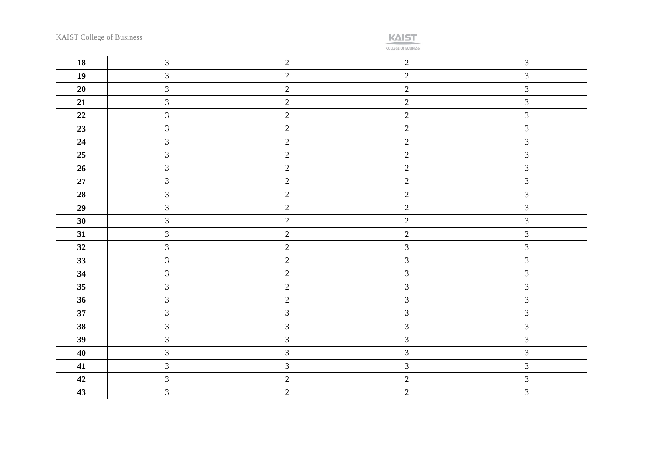**KAIST** 

| 18     | $\overline{3}$ | $\sqrt{2}$     | $\sqrt{2}$     | $\mathfrak{Z}$ |
|--------|----------------|----------------|----------------|----------------|
| 19     | $\mathfrak{Z}$ | $\overline{2}$ | $\overline{2}$ | $\mathfrak{Z}$ |
| 20     | $\overline{3}$ | $\overline{2}$ | $\overline{2}$ | $\mathfrak{Z}$ |
| 21     | $\mathfrak{Z}$ | $\sqrt{2}$     | $\overline{2}$ | $\overline{3}$ |
| 22     | $\overline{3}$ | $\overline{2}$ | $\overline{2}$ | $\mathfrak{Z}$ |
| 23     | $\mathfrak{Z}$ | $\sqrt{2}$     | $\overline{c}$ | $\mathfrak{Z}$ |
| 24     | $\overline{3}$ | $\overline{2}$ | $\overline{2}$ | $\mathfrak{Z}$ |
| 25     | $\mathfrak{Z}$ | $\sqrt{2}$     | $\overline{2}$ | $\mathfrak{Z}$ |
| 26     | $\overline{3}$ | $\sqrt{2}$     | $\overline{2}$ | $\mathfrak{Z}$ |
| $27\,$ | $\mathfrak{Z}$ | $\overline{2}$ | $\sqrt{2}$     | $\mathfrak{Z}$ |
| 28     | $\overline{3}$ | $\sqrt{2}$     | $\overline{2}$ | $\mathfrak{Z}$ |
| 29     | $\overline{3}$ | $\overline{2}$ | $\overline{2}$ | $\mathfrak{Z}$ |
| 30     | $\overline{3}$ | $\overline{2}$ | $\overline{c}$ | $\overline{3}$ |
| 31     | $\overline{3}$ | $\overline{2}$ | $\overline{2}$ | $\mathfrak{Z}$ |
| 32     | $\mathfrak{Z}$ | $\sqrt{2}$     | $\mathfrak{Z}$ | $\overline{3}$ |
| 33     | $\overline{3}$ | $\overline{2}$ | $\mathfrak{Z}$ | $\overline{3}$ |
| 34     | $\mathfrak{Z}$ | $\overline{2}$ | $\mathfrak{Z}$ | $\mathfrak{Z}$ |
| 35     | $\overline{3}$ | $\overline{2}$ | $\mathfrak{Z}$ | $\overline{3}$ |
| 36     | $\overline{3}$ | $\sqrt{2}$     | $\mathfrak{Z}$ | $\overline{3}$ |
| 37     | $\overline{3}$ | $\mathfrak{Z}$ | $\mathfrak{Z}$ | $\overline{3}$ |
| 38     | $\overline{3}$ | $\mathfrak{Z}$ | $\mathfrak{Z}$ | $\overline{3}$ |
| 39     | $\overline{3}$ | $\mathfrak{Z}$ | $\mathfrak{Z}$ | $\mathfrak{Z}$ |
| 40     | $\mathfrak{Z}$ | $\mathfrak{Z}$ | $\mathfrak{Z}$ | $\mathfrak{Z}$ |
| 41     | $\mathfrak{Z}$ | $\mathfrak{Z}$ | $\mathfrak{Z}$ | $\mathfrak{Z}$ |
| 42     | $\mathfrak{Z}$ | $\overline{2}$ | $\sqrt{2}$     | $\mathfrak{Z}$ |
| 43     | $\overline{3}$ | $\overline{2}$ | $\sqrt{2}$     | $\mathfrak{Z}$ |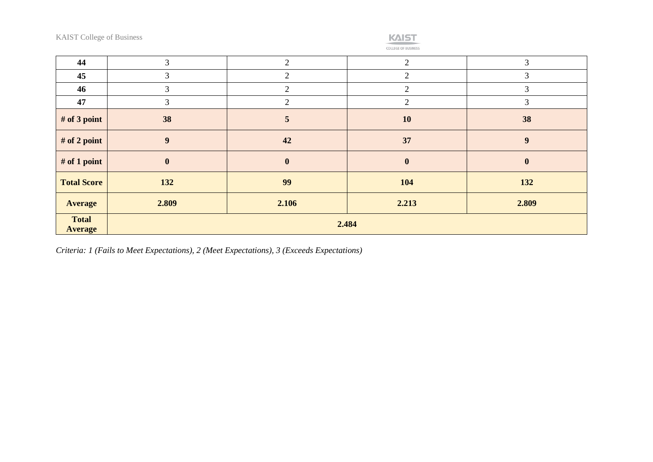

| 44                             | 3              | $\overline{2}$   | $\mathcal{D}_{\mathcal{L}}$ | 3              |  |
|--------------------------------|----------------|------------------|-----------------------------|----------------|--|
| 45                             | 3              | $\overline{2}$   | 2                           | 3              |  |
| 46                             | 3              | $\overline{2}$   | $\overline{2}$              | 3              |  |
| 47                             | 3              | $\overline{2}$   | $\overline{2}$              | $\mathfrak{Z}$ |  |
| # of 3 point                   | 38             | $\overline{5}$   | 10                          | 38             |  |
| # of 2 point                   | 9 <sup>°</sup> | 42               | 37                          | 9              |  |
| # of 1 point                   | $\mathbf{0}$   | $\boldsymbol{0}$ | $\bf{0}$                    | $\bf{0}$       |  |
| <b>Total Score</b>             | 132            | 99               | 104                         | 132            |  |
| <b>Average</b>                 | 2.809          | 2.106            | 2.213                       | 2.809          |  |
| <b>Total</b><br><b>Average</b> | 2.484          |                  |                             |                |  |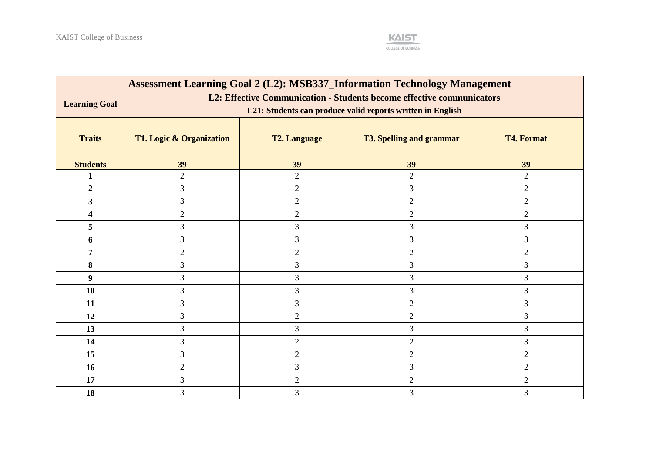

| <b>Assessment Learning Goal 2 (L2): MSB337_Information Technology Management</b> |                                                            |                     |                                                                       |                   |  |  |  |
|----------------------------------------------------------------------------------|------------------------------------------------------------|---------------------|-----------------------------------------------------------------------|-------------------|--|--|--|
|                                                                                  |                                                            |                     | L2: Effective Communication - Students become effective communicators |                   |  |  |  |
| <b>Learning Goal</b>                                                             | L21: Students can produce valid reports written in English |                     |                                                                       |                   |  |  |  |
| <b>Traits</b>                                                                    | T1. Logic & Organization                                   | <b>T2. Language</b> | <b>T3. Spelling and grammar</b>                                       | <b>T4. Format</b> |  |  |  |
| <b>Students</b>                                                                  | 39                                                         | 39                  | 39                                                                    | 39                |  |  |  |
| 1                                                                                | $\overline{2}$                                             | $\overline{2}$      | $\overline{2}$                                                        | $\overline{2}$    |  |  |  |
| $\boldsymbol{2}$                                                                 | 3                                                          | $\overline{2}$      | 3                                                                     | $\overline{2}$    |  |  |  |
| $\overline{\mathbf{3}}$                                                          | 3                                                          | $\overline{2}$      | $\overline{2}$                                                        | $\overline{2}$    |  |  |  |
| 4                                                                                | $\overline{2}$                                             | $\mathbf{2}$        | $\overline{2}$                                                        | $\overline{2}$    |  |  |  |
| 5                                                                                | 3                                                          | 3                   | 3                                                                     | 3                 |  |  |  |
| 6                                                                                | 3                                                          | 3                   | 3                                                                     | 3                 |  |  |  |
| 7                                                                                | $\overline{2}$                                             | $\mathbf{2}$        | $\overline{2}$                                                        | $\overline{2}$    |  |  |  |
| 8                                                                                | 3                                                          | 3                   | 3                                                                     | 3                 |  |  |  |
| 9                                                                                | 3                                                          | 3                   | 3                                                                     | 3                 |  |  |  |
| <b>10</b>                                                                        | 3                                                          | 3                   | 3                                                                     | 3                 |  |  |  |
| 11                                                                               | 3                                                          | $\mathfrak{Z}$      | $\overline{2}$                                                        | 3                 |  |  |  |
| 12                                                                               | 3                                                          | $\mathbf{2}$        | $\overline{2}$                                                        | 3                 |  |  |  |
| 13                                                                               | 3                                                          | 3                   | 3                                                                     | 3                 |  |  |  |
| 14                                                                               | 3                                                          | $\mathbf{2}$        | $\overline{2}$                                                        | 3                 |  |  |  |
| 15                                                                               | 3                                                          | $\overline{2}$      | $\overline{2}$                                                        | $\overline{2}$    |  |  |  |
| 16                                                                               | $\overline{2}$                                             | 3                   | 3                                                                     | $\overline{2}$    |  |  |  |
| 17                                                                               | 3                                                          | $\overline{2}$      | $\overline{2}$                                                        | $\overline{2}$    |  |  |  |
| 18                                                                               | 3                                                          | 3                   | 3                                                                     | 3                 |  |  |  |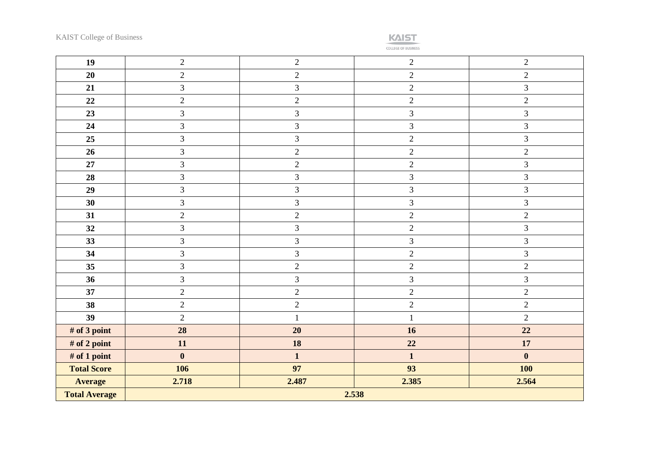

| 19                   | $\overline{2}$ | $\sqrt{2}$     | $\sqrt{2}$     | $\sqrt{2}$     |
|----------------------|----------------|----------------|----------------|----------------|
| 20                   | $\sqrt{2}$     | $\overline{2}$ | $\overline{2}$ | $\sqrt{2}$     |
| 21                   | 3              | $\mathfrak{Z}$ | $\overline{2}$ | $\mathfrak{Z}$ |
| 22                   | $\overline{2}$ | $\overline{2}$ | $\overline{2}$ | $\sqrt{2}$     |
| 23                   | $\overline{3}$ | $\overline{3}$ | $\overline{3}$ | $\overline{3}$ |
| 24                   | $\mathfrak{Z}$ | $\mathfrak{Z}$ | $\mathfrak{Z}$ | 3              |
| 25                   | $\overline{3}$ | $\mathfrak{Z}$ | $\overline{c}$ | $\mathfrak{Z}$ |
| 26                   | $\overline{3}$ | $\overline{2}$ | $\overline{c}$ | $\sqrt{2}$     |
| 27                   | $\overline{3}$ | $\overline{2}$ | $\overline{2}$ | 3              |
| 28                   | $\overline{3}$ | $\overline{3}$ | $\overline{3}$ | $\overline{3}$ |
| 29                   | $\overline{3}$ | $\mathfrak{Z}$ | 3              | $\mathfrak{Z}$ |
| 30                   | $\mathfrak{Z}$ | $\overline{3}$ | $\mathfrak{Z}$ | $\mathfrak{Z}$ |
| 31                   | $\sqrt{2}$     | $\sqrt{2}$     | $\overline{2}$ | $\sqrt{2}$     |
| 32                   | $\mathfrak{Z}$ | $\mathfrak{Z}$ | $\overline{2}$ | 3              |
| 33                   | $\overline{3}$ | $\overline{3}$ | $\overline{3}$ | $\mathfrak{Z}$ |
| 34                   | $\overline{3}$ | $\mathfrak{Z}$ | $\overline{2}$ | $\mathfrak{Z}$ |
| 35                   | 3              | $\sqrt{2}$     | $\overline{2}$ | $\overline{2}$ |
| 36                   | $\overline{3}$ | $\mathfrak{Z}$ | $\overline{3}$ | 3              |
| 37                   | $\overline{2}$ | $\sqrt{2}$     | $\overline{2}$ | $\sqrt{2}$     |
| 38                   | $\overline{2}$ | $\overline{2}$ | $\overline{c}$ | $\overline{2}$ |
| 39                   | $\overline{2}$ | $\mathbf{1}$   | $\mathbf{1}$   | $\overline{2}$ |
| # of 3 point         | 28             | 20             | 16             | 22             |
| # of 2 point         | 11             | 18             | 22             | 17             |
| # of 1 point         | $\mathbf{0}$   | $\mathbf{1}$   | $\mathbf{1}$   | $\bf{0}$       |
| <b>Total Score</b>   | 106            | 97             | 93             | <b>100</b>     |
| <b>Average</b>       | 2.718          | 2.487          | 2.385          | 2.564          |
| <b>Total Average</b> | 2.538          |                |                |                |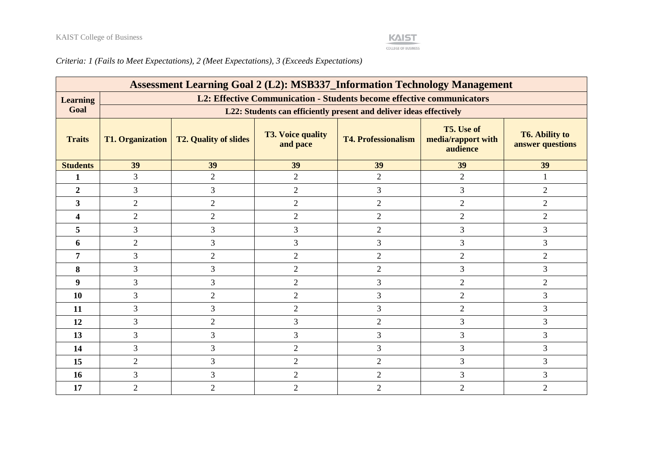#### **KAIST** COLLEGE OF BUSINESS

| <b>Assessment Learning Goal 2 (L2): MSB337_Information Technology Management</b> |                                                                       |                              |                                      |                                                                     |                                              |                                           |  |  |
|----------------------------------------------------------------------------------|-----------------------------------------------------------------------|------------------------------|--------------------------------------|---------------------------------------------------------------------|----------------------------------------------|-------------------------------------------|--|--|
| <b>Learning</b>                                                                  | L2: Effective Communication - Students become effective communicators |                              |                                      |                                                                     |                                              |                                           |  |  |
| Goal                                                                             |                                                                       |                              |                                      | L22: Students can efficiently present and deliver ideas effectively |                                              |                                           |  |  |
| <b>Traits</b>                                                                    | <b>T1. Organization</b>                                               | <b>T2. Quality of slides</b> | <b>T3. Voice quality</b><br>and pace | <b>T4. Professionalism</b>                                          | T5. Use of<br>media/rapport with<br>audience | <b>T6. Ability to</b><br>answer questions |  |  |
| <b>Students</b>                                                                  | 39                                                                    | 39                           | 39                                   | 39                                                                  | 39                                           | 39                                        |  |  |
| 1                                                                                | 3                                                                     | $\overline{2}$               | $\overline{2}$                       | $\overline{2}$                                                      | $\overline{2}$                               |                                           |  |  |
| $\overline{2}$                                                                   | 3                                                                     | 3                            | $\overline{2}$                       | $\overline{3}$                                                      | 3                                            | $\overline{2}$                            |  |  |
| 3                                                                                | $\overline{2}$                                                        | $\mathbf{2}$                 | $\overline{2}$                       | $\overline{2}$                                                      | $\overline{2}$                               | $\overline{2}$                            |  |  |
| 4                                                                                | $\overline{2}$                                                        | $\overline{2}$               | $\overline{2}$                       | $\overline{2}$                                                      | $\overline{2}$                               | $\overline{2}$                            |  |  |
| 5                                                                                | 3                                                                     | 3                            | 3                                    | $\overline{2}$                                                      | 3                                            | 3                                         |  |  |
| 6                                                                                | $\overline{2}$                                                        | 3                            | $\overline{3}$                       | 3                                                                   | $\overline{3}$                               | 3                                         |  |  |
| 7                                                                                | 3                                                                     | $\overline{2}$               | $\overline{2}$                       | $\overline{2}$                                                      | $\overline{2}$                               | $\overline{2}$                            |  |  |
| 8                                                                                | 3                                                                     | 3                            | $\overline{2}$                       | $\overline{2}$                                                      | 3                                            | 3                                         |  |  |
| 9                                                                                | 3                                                                     | 3                            | $\overline{2}$                       | 3                                                                   | $\overline{2}$                               | $\overline{2}$                            |  |  |
| 10                                                                               | 3                                                                     | $\mathfrak{2}$               | $\overline{2}$                       | 3                                                                   | $\overline{2}$                               | 3                                         |  |  |
| 11                                                                               | 3                                                                     | 3                            | $\overline{2}$                       | $\overline{3}$                                                      | $\overline{2}$                               | 3                                         |  |  |
| 12                                                                               | 3                                                                     | $\overline{2}$               | 3                                    | $\overline{2}$                                                      | 3                                            | 3                                         |  |  |
| 13                                                                               | 3                                                                     | 3                            | $\overline{3}$                       | 3                                                                   | 3                                            | 3                                         |  |  |
| 14                                                                               | 3                                                                     | 3                            | $\overline{2}$                       | 3                                                                   | 3                                            | 3                                         |  |  |
| 15                                                                               | $\overline{2}$                                                        | 3                            | $\overline{2}$                       | $\overline{2}$                                                      | 3                                            | 3                                         |  |  |
| 16                                                                               | 3                                                                     | 3                            | 2                                    | $\overline{2}$                                                      | $\overline{3}$                               | 3                                         |  |  |
| 17                                                                               | $\overline{2}$                                                        | $\overline{2}$               | $\overline{2}$                       | $\overline{2}$                                                      | $\overline{2}$                               | 2                                         |  |  |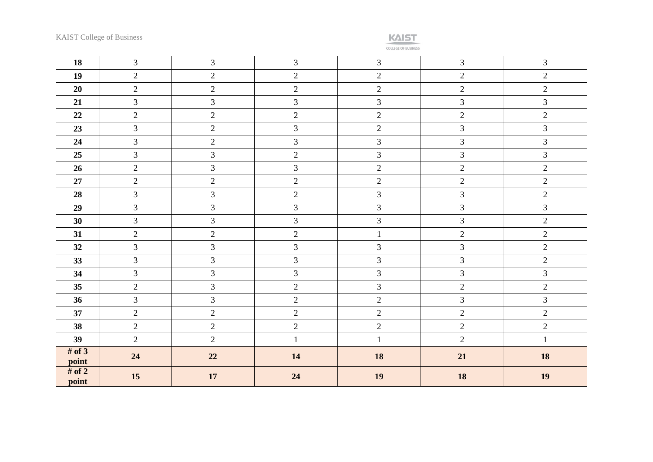

| 18                | $\mathfrak{Z}$ | $\mathfrak{Z}$ | $\mathfrak{Z}$ | $\mathfrak{Z}$ | $\overline{3}$ | $\overline{3}$ |
|-------------------|----------------|----------------|----------------|----------------|----------------|----------------|
| 19                | $\overline{2}$ | $\overline{2}$ | $\overline{2}$ | $\overline{2}$ | $\overline{2}$ | $\overline{2}$ |
| 20                | $\overline{2}$ | $\overline{c}$ | $\overline{2}$ | $\overline{2}$ | $\overline{2}$ | $\overline{2}$ |
| 21                | $\overline{3}$ | $\overline{3}$ | $\overline{3}$ | $\mathfrak{Z}$ | $\overline{3}$ | $\overline{3}$ |
| 22                | $\overline{2}$ | $\sqrt{2}$     | $\overline{2}$ | $\sqrt{2}$     | $\sqrt{2}$     | $\overline{2}$ |
| 23                | $\mathfrak{Z}$ | $\overline{c}$ | $\mathfrak{Z}$ | $\sqrt{2}$     | 3              | $\mathfrak{Z}$ |
| 24                | $\mathfrak{Z}$ | $\overline{c}$ | $\overline{3}$ | $\mathfrak{Z}$ | $\mathfrak{Z}$ | $\mathfrak{Z}$ |
| 25                | $\overline{3}$ | $\overline{3}$ | $\overline{2}$ | $\mathfrak{Z}$ | 3              | $\overline{3}$ |
| 26                | $\overline{2}$ | $\mathfrak{Z}$ | $\mathfrak{Z}$ | $\sqrt{2}$     | $\sqrt{2}$     | $\overline{2}$ |
| 27                | $\overline{2}$ | $\overline{2}$ | $\overline{2}$ | $\overline{2}$ | $\overline{2}$ | $\overline{2}$ |
| 28                | $\overline{3}$ | $\overline{3}$ | $\overline{2}$ | $\mathfrak{Z}$ | $\mathfrak{Z}$ | $\overline{2}$ |
| 29                | $\overline{3}$ | $\overline{3}$ | $\overline{3}$ | $\mathfrak{Z}$ | 3              | $\overline{3}$ |
| 30                | $\overline{3}$ | $\mathfrak{Z}$ | $\overline{3}$ | $\mathfrak{Z}$ | 3              | $\overline{2}$ |
| 31                | $\overline{2}$ | $\overline{c}$ | $\overline{2}$ | $\mathbf{1}$   | $\overline{2}$ | $\overline{2}$ |
| 32                | $\overline{3}$ | $\overline{3}$ | $\overline{3}$ | $\mathfrak{Z}$ | 3              | $\overline{2}$ |
| 33                | $\overline{3}$ | $\overline{3}$ | $\overline{3}$ | 3              | $\overline{3}$ | $\overline{2}$ |
| 34                | 3              | 3              | $\overline{3}$ | $\mathfrak{Z}$ | $\overline{3}$ | $\overline{3}$ |
| 35                | $\overline{2}$ | $\overline{3}$ | $\overline{2}$ | $\mathfrak{Z}$ | $\overline{2}$ | $\overline{2}$ |
| 36                | $\overline{3}$ | $\overline{3}$ | $\overline{2}$ | $\overline{2}$ | $\overline{3}$ | $\overline{3}$ |
| 37                | $\overline{2}$ | $\overline{2}$ | $\overline{2}$ | $\overline{2}$ | $\overline{2}$ | $\overline{2}$ |
| 38                | $\overline{2}$ | $\overline{c}$ | $\overline{2}$ | $\sqrt{2}$     | $\overline{2}$ | $\overline{2}$ |
| 39                | $\overline{2}$ | $\overline{2}$ | $\mathbf{1}$   | $\mathbf{1}$   | $\overline{2}$ | $\mathbf{1}$   |
| # of $3$<br>point | 24             | 22             | 14             | 18             | 21             | 18             |
| # of $2$<br>point | 15             | $17\,$         | 24             | 19             | 18             | 19             |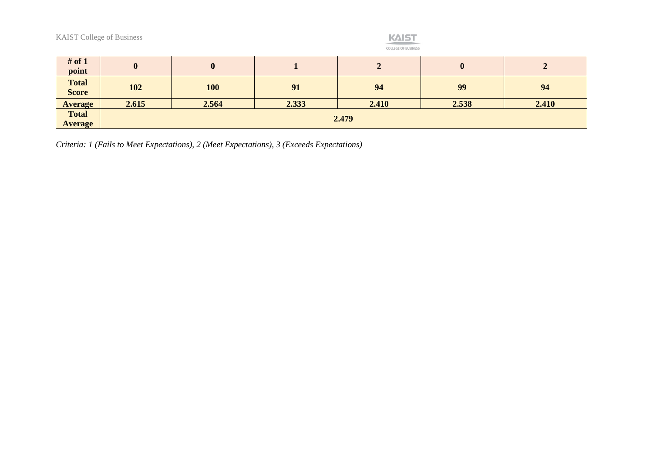**KAIST** COLLEGE OF BUSINESS

| # of $1$<br>point            | $\bf{0}$ | $\bf{0}$   |       | $\epsilon$ | $\bf{0}$ |       |
|------------------------------|----------|------------|-------|------------|----------|-------|
| <b>Total</b><br><b>Score</b> | 102      | <b>100</b> | 91    | 94         | 99       | 94    |
| <b>Average</b>               | 2.615    | 2.564      | 2.333 | 2.410      | 2.538    | 2.410 |
| <b>Total</b>                 | 2.479    |            |       |            |          |       |
| <b>Average</b>               |          |            |       |            |          |       |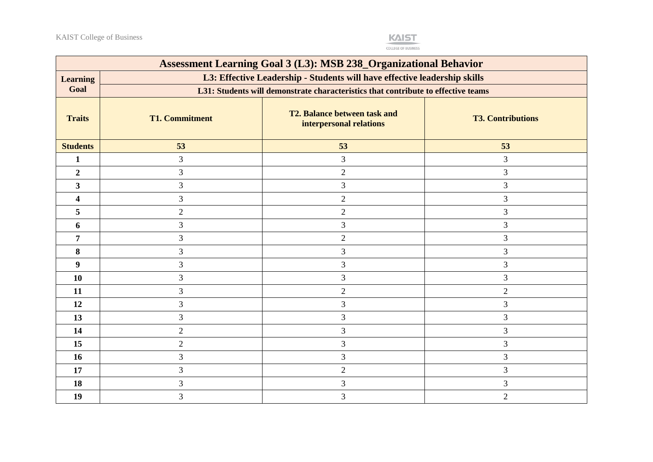

| <b>Assessment Learning Goal 3 (L3): MSB 238_Organizational Behavior</b> |                                                                           |                                                                                   |                          |  |  |  |  |
|-------------------------------------------------------------------------|---------------------------------------------------------------------------|-----------------------------------------------------------------------------------|--------------------------|--|--|--|--|
| <b>Learning</b>                                                         | L3: Effective Leadership - Students will have effective leadership skills |                                                                                   |                          |  |  |  |  |
| Goal                                                                    |                                                                           | L31: Students will demonstrate characteristics that contribute to effective teams |                          |  |  |  |  |
| <b>Traits</b>                                                           | <b>T1. Commitment</b>                                                     | T2. Balance between task and<br>interpersonal relations                           | <b>T3. Contributions</b> |  |  |  |  |
| <b>Students</b>                                                         | 53                                                                        | 53                                                                                | 53                       |  |  |  |  |
| $\mathbf{1}$                                                            | 3                                                                         | 3                                                                                 | $\overline{3}$           |  |  |  |  |
| $\boldsymbol{2}$                                                        | 3                                                                         | $\overline{c}$                                                                    | 3                        |  |  |  |  |
| $\mathbf{3}$                                                            | 3                                                                         | 3                                                                                 | 3                        |  |  |  |  |
| 4                                                                       | 3                                                                         | $\overline{2}$                                                                    | 3                        |  |  |  |  |
| 5                                                                       | $\overline{2}$                                                            | $\overline{2}$                                                                    | 3                        |  |  |  |  |
| 6                                                                       | 3                                                                         | 3                                                                                 | 3                        |  |  |  |  |
| 7                                                                       | 3                                                                         | $\overline{2}$                                                                    | 3                        |  |  |  |  |
| 8                                                                       | 3                                                                         | 3                                                                                 | 3                        |  |  |  |  |
| 9                                                                       | 3                                                                         | 3                                                                                 | $\overline{3}$           |  |  |  |  |
| 10                                                                      | 3                                                                         | 3                                                                                 | $\overline{3}$           |  |  |  |  |
| 11                                                                      | 3                                                                         | $\overline{2}$                                                                    | $\overline{2}$           |  |  |  |  |
| 12                                                                      | 3                                                                         | 3                                                                                 | 3                        |  |  |  |  |
| 13                                                                      | 3                                                                         | 3                                                                                 | 3                        |  |  |  |  |
| 14                                                                      | $\overline{2}$                                                            | 3                                                                                 | 3                        |  |  |  |  |
| 15                                                                      | $\overline{2}$                                                            | 3                                                                                 | 3                        |  |  |  |  |
| 16                                                                      | 3                                                                         | 3                                                                                 | 3                        |  |  |  |  |
| 17                                                                      | 3                                                                         | $\overline{2}$                                                                    | 3                        |  |  |  |  |
| 18                                                                      | 3                                                                         | 3                                                                                 | 3                        |  |  |  |  |
| 19                                                                      | 3                                                                         | 3                                                                                 | $\overline{2}$           |  |  |  |  |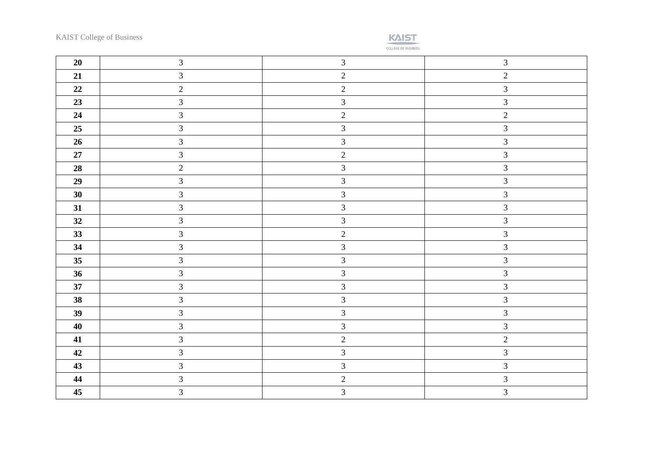

| 20 | $\mathfrak{Z}$ | $\mathfrak{Z}$ | $\mathfrak{Z}$ |
|----|----------------|----------------|----------------|
| 21 | $\mathfrak{Z}$ | 2              | $\overline{2}$ |
| 22 | $\overline{2}$ | $\overline{2}$ | $\overline{3}$ |
| 23 | $\mathfrak{Z}$ | $\mathfrak{Z}$ | $\overline{3}$ |
| 24 | $\mathfrak{Z}$ | $\overline{2}$ | $\overline{2}$ |
| 25 | $\overline{3}$ | $\mathfrak{Z}$ | $\mathfrak{Z}$ |
| 26 | $\mathfrak{Z}$ | $\overline{3}$ | $\mathfrak{Z}$ |
| 27 | $\mathfrak{Z}$ | $\sqrt{2}$     | $\overline{3}$ |
| 28 | $\overline{2}$ | $\mathfrak{Z}$ | $\mathfrak{Z}$ |
| 29 | $\mathfrak{Z}$ | $\mathfrak{Z}$ | $\mathfrak{Z}$ |
| 30 | $\mathfrak{Z}$ | $\mathfrak{Z}$ | $\mathfrak{Z}$ |
| 31 | $\overline{3}$ | $\overline{3}$ | $\overline{3}$ |
| 32 | $\mathfrak{Z}$ | $\mathfrak{Z}$ | $\overline{3}$ |
| 33 | $\overline{3}$ | $\overline{2}$ | $\mathfrak{Z}$ |
| 34 | $\mathfrak{Z}$ | $\mathfrak{Z}$ | $\mathfrak{Z}$ |
| 35 | $\mathfrak{Z}$ | $\mathfrak{Z}$ | $\mathfrak{Z}$ |
| 36 | $\mathfrak{Z}$ | $\mathfrak{Z}$ | $\mathfrak{Z}$ |
| 37 | $\mathfrak{Z}$ | $\mathfrak{Z}$ | $\mathfrak{Z}$ |
| 38 | $\overline{3}$ | $\mathfrak{Z}$ | $\overline{3}$ |
| 39 | $\overline{3}$ | $\overline{3}$ | $\mathfrak{Z}$ |
| 40 | $\mathfrak{Z}$ | $\mathfrak{Z}$ | $\mathfrak{Z}$ |
| 41 | $\overline{3}$ | $\overline{2}$ | $\overline{2}$ |
| 42 | $\mathfrak{Z}$ | $\mathfrak{Z}$ | $\mathfrak{Z}$ |
| 43 | $\mathfrak{Z}$ | $\mathfrak{Z}$ | $\mathfrak{Z}$ |
| 44 | $\mathfrak{Z}$ | $\overline{2}$ | $\mathfrak{Z}$ |
| 45 | $\mathfrak{Z}$ | $\mathfrak{Z}$ | $\overline{3}$ |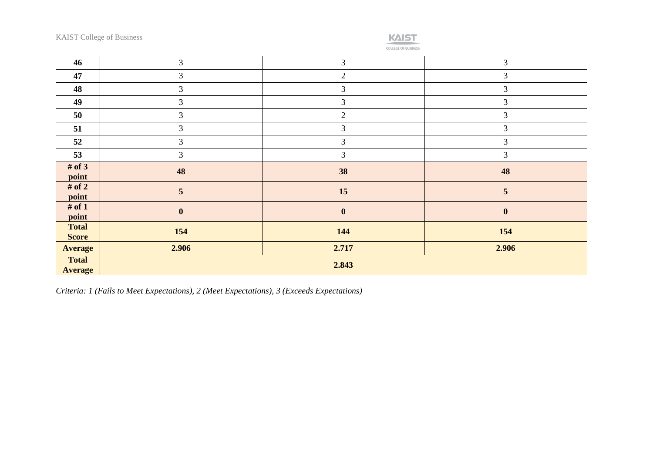

| 46                             | $\mathfrak{Z}$ | 3                | $\mathfrak{Z}$   |
|--------------------------------|----------------|------------------|------------------|
| 47                             | 3              | $\overline{2}$   | 3                |
| 48                             | 3              | $\overline{3}$   | 3                |
| 49                             | 3              | 3                | 3                |
| 50                             | 3              | $\mathbf{2}$     | 3                |
| 51                             | 3              | 3                | 3                |
| 52                             | 3              | 3                | 3                |
| 53                             | $\mathfrak{Z}$ | 3                | $\mathfrak{Z}$   |
| # of $3$<br>point              | 48             | 38               | 48               |
| # of $2$<br>point              | 5              | 15               | 5                |
| # of $1$<br>point              | $\mathbf{0}$   | $\boldsymbol{0}$ | $\boldsymbol{0}$ |
| <b>Total</b><br><b>Score</b>   | 154            | 144              | 154              |
| <b>Average</b>                 | 2.906          | 2.717            | 2.906            |
| <b>Total</b><br><b>Average</b> | 2.843          |                  |                  |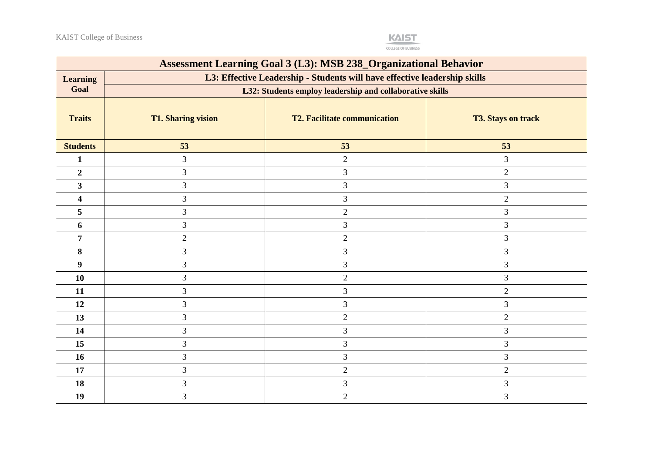

| <b>Assessment Learning Goal 3 (L3): MSB 238_Organizational Behavior</b> |                                                                           |                                     |                           |  |  |  |  |
|-------------------------------------------------------------------------|---------------------------------------------------------------------------|-------------------------------------|---------------------------|--|--|--|--|
| <b>Learning</b>                                                         | L3: Effective Leadership - Students will have effective leadership skills |                                     |                           |  |  |  |  |
| Goal                                                                    | L32: Students employ leadership and collaborative skills                  |                                     |                           |  |  |  |  |
| <b>Traits</b>                                                           | <b>T1. Sharing vision</b>                                                 | <b>T2. Facilitate communication</b> | <b>T3. Stays on track</b> |  |  |  |  |
| <b>Students</b>                                                         | 53                                                                        | 53                                  | 53                        |  |  |  |  |
| 1                                                                       | 3                                                                         | $\overline{2}$                      | 3                         |  |  |  |  |
| $\boldsymbol{2}$                                                        | $\mathfrak{Z}$                                                            | 3                                   | $\overline{2}$            |  |  |  |  |
| $\overline{\mathbf{3}}$                                                 | $\mathfrak{Z}$                                                            | 3                                   | 3                         |  |  |  |  |
| 4                                                                       | 3                                                                         | 3                                   | $\overline{2}$            |  |  |  |  |
| 5                                                                       | 3                                                                         | $\overline{2}$                      | 3                         |  |  |  |  |
| 6                                                                       | 3                                                                         | 3                                   | 3                         |  |  |  |  |
| 7                                                                       | $\mathbf{2}$                                                              | $\overline{2}$                      | 3                         |  |  |  |  |
| 8                                                                       | $\mathfrak{Z}$                                                            | $\overline{3}$                      | 3                         |  |  |  |  |
| $\boldsymbol{9}$                                                        | 3                                                                         | 3                                   | 3                         |  |  |  |  |
| 10                                                                      | 3                                                                         | $\overline{2}$                      | 3                         |  |  |  |  |
| 11                                                                      | $\mathfrak{Z}$                                                            | 3                                   | $\mathbf{2}$              |  |  |  |  |
| 12                                                                      | 3                                                                         | $\mathfrak{Z}$                      | 3                         |  |  |  |  |
| 13                                                                      | $\mathfrak{Z}$                                                            | $\overline{2}$                      | $\overline{2}$            |  |  |  |  |
| 14                                                                      | 3                                                                         | 3                                   | 3                         |  |  |  |  |
| 15                                                                      | 3                                                                         | 3                                   | 3                         |  |  |  |  |
| 16                                                                      | 3                                                                         | $\overline{3}$                      | 3                         |  |  |  |  |
| 17                                                                      | 3                                                                         | $\overline{2}$                      | $\mathbf{2}$              |  |  |  |  |
| 18                                                                      | 3                                                                         | 3                                   | 3                         |  |  |  |  |
| 19                                                                      | $\overline{3}$                                                            | $\overline{2}$                      | 3                         |  |  |  |  |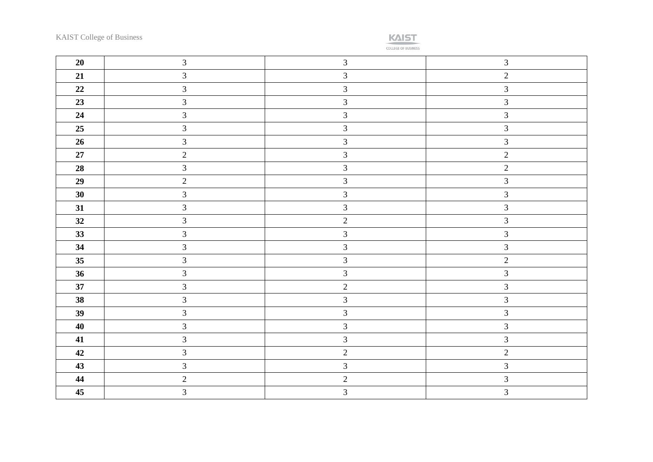

| 20     | $\mathfrak{Z}$          | $\mathfrak{Z}$ | $\mathfrak{Z}$ |
|--------|-------------------------|----------------|----------------|
| 21     | $\overline{3}$          | $\mathfrak{Z}$ | $\overline{2}$ |
| 22     | $\overline{3}$          | $\overline{3}$ | $\mathfrak{Z}$ |
| 23     | $\overline{3}$          | $\mathfrak{Z}$ | $\mathfrak{Z}$ |
| 24     | $\mathfrak{Z}$          | $\overline{3}$ | $\mathfrak{Z}$ |
| 25     | $\overline{3}$          | $\overline{3}$ | $\overline{3}$ |
| 26     | $\mathfrak{Z}$          | $\mathfrak{Z}$ | $\mathfrak{Z}$ |
| $27\,$ | $\overline{2}$          | $\overline{3}$ | $\overline{2}$ |
| 28     | $\overline{3}$          | $\mathfrak{Z}$ | $\overline{2}$ |
| 29     | $\overline{2}$          | $\mathfrak{Z}$ | $\mathfrak{Z}$ |
| 30     | $\overline{3}$          | $\mathfrak{Z}$ | $\mathfrak{Z}$ |
| 31     | $\overline{3}$          | $\overline{3}$ | $\mathfrak{Z}$ |
| 32     | $\overline{3}$          | $\overline{2}$ | $\overline{3}$ |
| 33     | $\mathfrak{Z}$          | $\mathfrak{Z}$ | $\mathfrak{Z}$ |
| 34     | $\mathfrak{Z}$          | $\overline{3}$ | $\overline{3}$ |
| 35     | $\overline{\mathbf{3}}$ | $\mathfrak{Z}$ | $\overline{2}$ |
| 36     | $\overline{3}$          | $\mathfrak{Z}$ | $\mathfrak{Z}$ |
| 37     | $\overline{3}$          | $\overline{2}$ | $\mathfrak{Z}$ |
| 38     | $\overline{3}$          | $\overline{3}$ | $\overline{3}$ |
| 39     | $\overline{3}$          | $\overline{3}$ | $\mathfrak{Z}$ |
| 40     | $\mathfrak{Z}$          | $\overline{3}$ | $\mathfrak{Z}$ |
| 41     | $\overline{3}$          | $\mathfrak{Z}$ | $\overline{3}$ |
| 42     | $\overline{3}$          | $\overline{2}$ | $\overline{2}$ |
| 43     | $\overline{3}$          | $\mathfrak{Z}$ | $\mathfrak{Z}$ |
| 44     | $\overline{2}$          | $\overline{2}$ | $\mathfrak{Z}$ |
| 45     | $\overline{3}$          | $\mathfrak{Z}$ | $\mathfrak{Z}$ |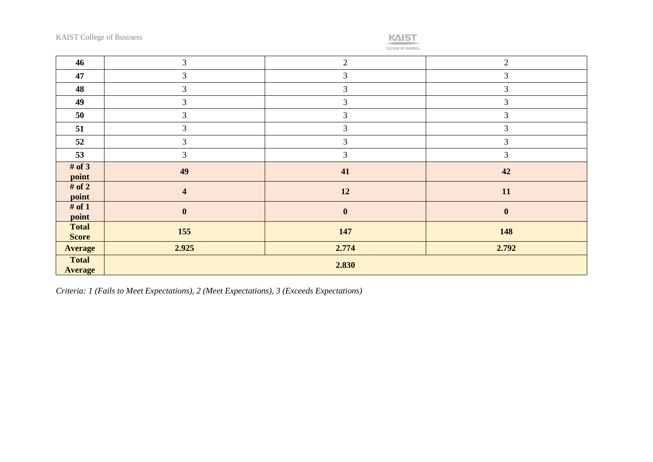

|        |  |  | <b>RUSIN-</b> |  |
|--------|--|--|---------------|--|
| ______ |  |  |               |  |

| 46                           | $\mathfrak{Z}$          | 2              | $\overline{2}$ |
|------------------------------|-------------------------|----------------|----------------|
| 47                           | $\mathfrak{Z}$          | $\overline{3}$ | 3              |
| 48                           | $\mathfrak{Z}$          | $\mathfrak{Z}$ | $\mathfrak{Z}$ |
| 49                           | 3                       | $\mathfrak{Z}$ | $\overline{3}$ |
| 50                           | $\overline{3}$          | $\overline{3}$ | $\overline{3}$ |
| 51                           | 3                       | 3              | 3              |
| 52                           | $\mathfrak{Z}$          | 3              | 3              |
| 53                           | 3                       | 3              | $\mathfrak{Z}$ |
| # of $3$<br>point            | 49                      | 41             | 42             |
| # of $2$<br>point            | $\overline{\mathbf{4}}$ | 12             | 11             |
| # of $1$<br>point            | $\boldsymbol{0}$        | $\mathbf{0}$   | $\mathbf{0}$   |
| <b>Total</b><br><b>Score</b> | 155                     | 147            | 148            |
| <b>Average</b>               | 2.925                   | 2.774          | 2.792          |
| <b>Total</b>                 |                         | 2.830          |                |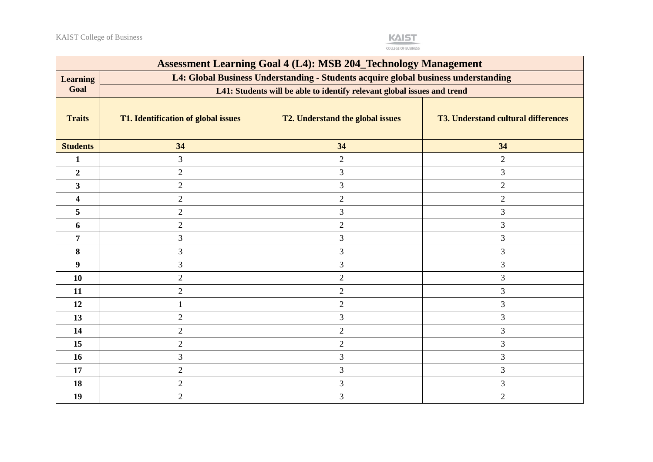

| <b>Assessment Learning Goal 4 (L4): MSB 204_Technology Management</b> |                                                                                                                                                               |                                  |                                            |  |  |  |  |
|-----------------------------------------------------------------------|---------------------------------------------------------------------------------------------------------------------------------------------------------------|----------------------------------|--------------------------------------------|--|--|--|--|
| <b>Learning</b>                                                       | L4: Global Business Understanding - Students acquire global business understanding<br>L41: Students will be able to identify relevant global issues and trend |                                  |                                            |  |  |  |  |
| Goal                                                                  |                                                                                                                                                               |                                  |                                            |  |  |  |  |
| <b>Traits</b>                                                         | T1. Identification of global issues                                                                                                                           | T2. Understand the global issues | <b>T3. Understand cultural differences</b> |  |  |  |  |
| <b>Students</b>                                                       | 34                                                                                                                                                            | 34                               | 34                                         |  |  |  |  |
| 1                                                                     | 3                                                                                                                                                             | $\sqrt{2}$                       | $\overline{2}$                             |  |  |  |  |
| $\boldsymbol{2}$                                                      | $\overline{2}$                                                                                                                                                | $\mathfrak{Z}$                   | 3                                          |  |  |  |  |
| $\mathbf{3}$                                                          | $\overline{2}$                                                                                                                                                | 3                                | $\overline{2}$                             |  |  |  |  |
| $\overline{\mathbf{4}}$                                               | $\overline{2}$                                                                                                                                                | $\mathbf{2}$                     | $\overline{2}$                             |  |  |  |  |
| 5                                                                     | $\overline{2}$                                                                                                                                                | $\mathfrak{Z}$                   | 3                                          |  |  |  |  |
| 6                                                                     | $\overline{2}$                                                                                                                                                | $\overline{2}$                   | 3                                          |  |  |  |  |
| $\overline{7}$                                                        | 3                                                                                                                                                             | $\mathfrak{Z}$                   | 3                                          |  |  |  |  |
| 8                                                                     | $\overline{3}$                                                                                                                                                | 3                                | 3                                          |  |  |  |  |
| $\boldsymbol{9}$                                                      | 3                                                                                                                                                             | 3                                | 3                                          |  |  |  |  |
| 10                                                                    | $\overline{2}$                                                                                                                                                | $\overline{2}$                   | 3                                          |  |  |  |  |
| 11                                                                    | $\overline{2}$                                                                                                                                                | $\overline{2}$                   | 3                                          |  |  |  |  |
| 12                                                                    |                                                                                                                                                               | $\overline{2}$                   | 3                                          |  |  |  |  |
| 13                                                                    | $\overline{2}$                                                                                                                                                | 3                                | 3                                          |  |  |  |  |
| 14                                                                    | $\overline{2}$                                                                                                                                                | $\sqrt{2}$                       | 3                                          |  |  |  |  |
| 15                                                                    | $\overline{2}$                                                                                                                                                | $\boldsymbol{2}$                 | 3                                          |  |  |  |  |
| 16                                                                    | 3                                                                                                                                                             | 3                                | 3                                          |  |  |  |  |
| 17                                                                    | $\overline{2}$                                                                                                                                                | $\mathfrak{Z}$                   | 3                                          |  |  |  |  |
| 18                                                                    | $\overline{2}$                                                                                                                                                | $\mathfrak{Z}$                   | 3                                          |  |  |  |  |
| 19                                                                    | $\overline{2}$                                                                                                                                                | 3                                | $\overline{2}$                             |  |  |  |  |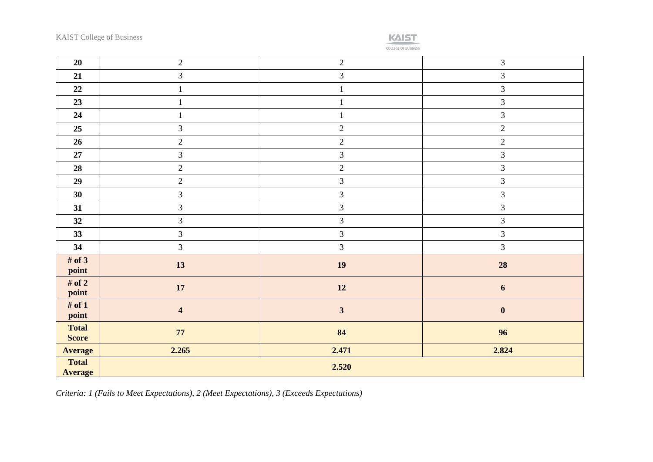

COLLEGE OF BUSINESS

| 20                             | $\sqrt{2}$              | $\overline{2}$ | $\mathfrak{Z}$   |
|--------------------------------|-------------------------|----------------|------------------|
| 21                             | $\overline{3}$          | $\overline{3}$ | $\mathfrak{Z}$   |
| 22                             | $\mathbf{1}$            | $\mathbf{1}$   | $\mathfrak{Z}$   |
| 23                             | $\mathbf{1}$            | $\,1\,$        | $\mathfrak{Z}$   |
| 24                             | $\mathbf{1}$            | $\mathbf{1}$   | $\mathfrak{Z}$   |
| 25                             | $\overline{3}$          | $\sqrt{2}$     | $\sqrt{2}$       |
| 26                             | $\overline{2}$          | $\overline{2}$ | $\overline{2}$   |
| 27                             | $\mathfrak{Z}$          | $\mathfrak{Z}$ | $\mathfrak{Z}$   |
| 28                             | $\overline{2}$          | $\overline{2}$ | $\overline{3}$   |
| 29                             | $\overline{2}$          | $\mathfrak{Z}$ | $\mathfrak{Z}$   |
| 30                             | $\overline{3}$          | $\mathfrak{Z}$ | $\mathfrak{Z}$   |
| 31                             | $\mathfrak{Z}$          | $\sqrt{3}$     | $\mathfrak{Z}$   |
| 32                             | $\overline{3}$          | $\mathfrak{Z}$ | $\mathfrak{Z}$   |
| 33                             | $\mathfrak{Z}$          | $\mathfrak{Z}$ | $\mathfrak{Z}$   |
| 34                             | $\mathfrak{Z}$          | $\mathfrak{Z}$ | $\overline{3}$   |
| # of $3$<br>point              | 13                      | 19             | 28               |
| # of $2$<br>point              | $17\,$                  | 12             | $\boldsymbol{6}$ |
| # of $1$<br>point              | $\overline{\mathbf{4}}$ | $\mathbf{3}$   | $\boldsymbol{0}$ |
| <b>Total</b><br><b>Score</b>   | $77\,$                  | 84             | 96               |
| <b>Average</b>                 | 2.265                   | 2.471          | 2.824            |
| <b>Total</b><br><b>Average</b> | 2.520                   |                |                  |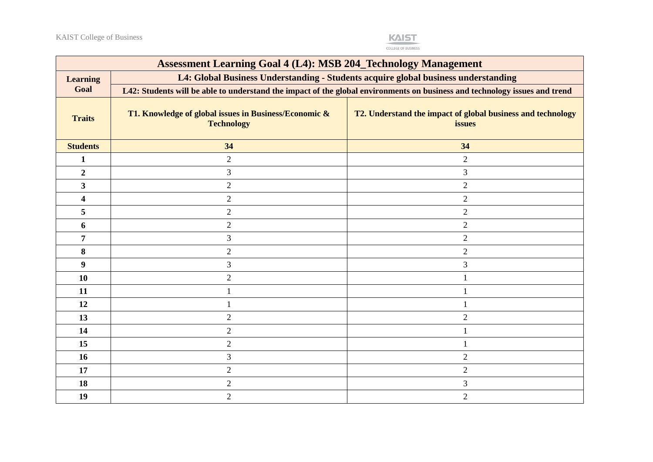

| <b>Assessment Learning Goal 4 (L4): MSB 204_Technology Management</b> |                                                                                                                            |                                                                       |  |  |
|-----------------------------------------------------------------------|----------------------------------------------------------------------------------------------------------------------------|-----------------------------------------------------------------------|--|--|
| <b>Learning</b>                                                       | L4: Global Business Understanding - Students acquire global business understanding                                         |                                                                       |  |  |
| Goal                                                                  | L42: Students will be able to understand the impact of the global environments on business and technology issues and trend |                                                                       |  |  |
| <b>Traits</b>                                                         | T1. Knowledge of global issues in Business/Economic &<br><b>Technology</b>                                                 | T2. Understand the impact of global business and technology<br>issues |  |  |
| <b>Students</b>                                                       | 34                                                                                                                         | 34                                                                    |  |  |
| $\mathbf{1}$                                                          | $\mathbf{2}$                                                                                                               | $\overline{2}$                                                        |  |  |
| $\boldsymbol{2}$                                                      | 3                                                                                                                          | 3                                                                     |  |  |
| 3                                                                     | $\overline{2}$                                                                                                             | $\overline{2}$                                                        |  |  |
| 4                                                                     | $\overline{2}$                                                                                                             | $\overline{2}$                                                        |  |  |
| 5                                                                     | $\overline{2}$                                                                                                             | $\sqrt{2}$                                                            |  |  |
| 6                                                                     | $\overline{2}$                                                                                                             | $\overline{2}$                                                        |  |  |
| 7                                                                     | 3                                                                                                                          | $\overline{2}$                                                        |  |  |
| $\bf{8}$                                                              | $\overline{2}$                                                                                                             | $\overline{2}$                                                        |  |  |
| $\boldsymbol{9}$                                                      | 3                                                                                                                          | 3                                                                     |  |  |
| 10                                                                    | $\overline{2}$                                                                                                             | $\mathbf{1}$                                                          |  |  |
| 11                                                                    | $\mathbf{1}$                                                                                                               | $\mathbf{1}$                                                          |  |  |
| 12                                                                    | 1                                                                                                                          |                                                                       |  |  |
| 13                                                                    | $\overline{2}$                                                                                                             | $\overline{2}$                                                        |  |  |
| 14                                                                    | $\overline{2}$                                                                                                             |                                                                       |  |  |
| 15                                                                    | $\overline{2}$                                                                                                             | 1                                                                     |  |  |
| 16                                                                    | 3                                                                                                                          | $\overline{2}$                                                        |  |  |
| 17                                                                    | $\overline{2}$                                                                                                             | $\mathbf{2}$                                                          |  |  |
| 18                                                                    | $\overline{2}$                                                                                                             | 3                                                                     |  |  |
| 19                                                                    | $\overline{2}$                                                                                                             | $\overline{2}$                                                        |  |  |